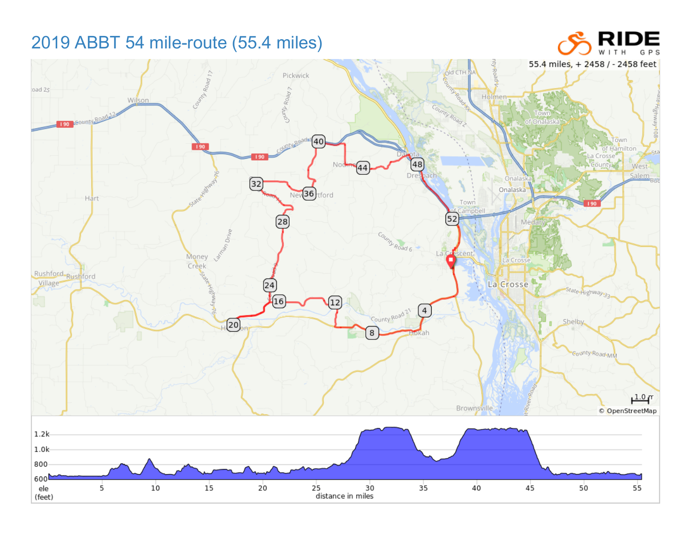## 2019 ABBT 54 mile-route (55.4 miles)